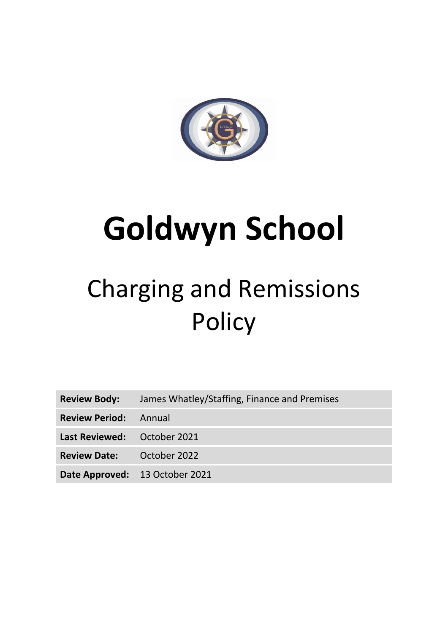

# **Goldwyn School**

# Charging and Remissions **Policy**

| <b>Review Body:</b>              | James Whatley/Staffing, Finance and Premises |
|----------------------------------|----------------------------------------------|
| <b>Review Period:</b> Annual     |                                              |
| Last Reviewed: October 2021      |                                              |
| <b>Review Date:</b> October 2022 |                                              |
| Date Approved: 13 October 2021   |                                              |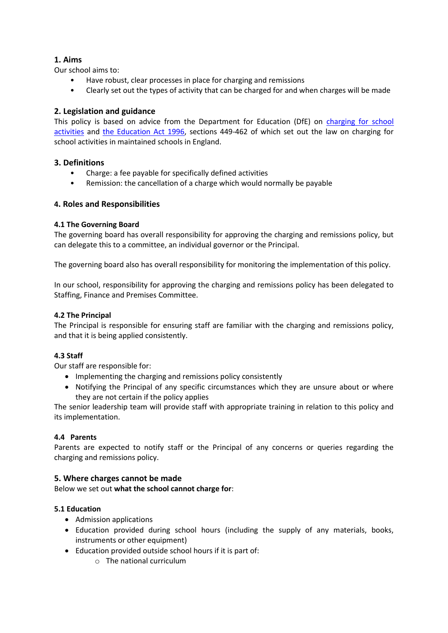# **1. Aims**

Our school aims to:

- Have robust, clear processes in place for charging and remissions
- Clearly set out the types of activity that can be charged for and when charges will be made

# **2. Legislation and guidance**

This policy is based on advice from the Department for Education (DfE) on [charging for school](https://www.gov.uk/government/publications/charging-for-school-activities)  [activities](https://www.gov.uk/government/publications/charging-for-school-activities) and [the Education Act 1996,](http://www.legislation.gov.uk/ukpga/1996/56/part/VI/chapter/III) sections 449-462 of which set out the law on charging for school activities in maintained schools in England.

# **3. Definitions**

- Charge: a fee payable for specifically defined activities
- Remission: the cancellation of a charge which would normally be payable

# **4. Roles and Responsibilities**

# **4.1 The Governing Board**

The governing board has overall responsibility for approving the charging and remissions policy, but can delegate this to a committee, an individual governor or the Principal.

The governing board also has overall responsibility for monitoring the implementation of this policy.

In our school, responsibility for approving the charging and remissions policy has been delegated to Staffing, Finance and Premises Committee.

# **4.2 The Principal**

The Principal is responsible for ensuring staff are familiar with the charging and remissions policy, and that it is being applied consistently.

# **4.3 Staff**

Our staff are responsible for:

- Implementing the charging and remissions policy consistently
- Notifying the Principal of any specific circumstances which they are unsure about or where they are not certain if the policy applies

The senior leadership team will provide staff with appropriate training in relation to this policy and its implementation.

# **4.4 Parents**

Parents are expected to notify staff or the Principal of any concerns or queries regarding the charging and remissions policy.

# **5. Where charges cannot be made**

Below we set out **what the school cannot charge for**:

# **5.1 Education**

- Admission applications
- Education provided during school hours (including the supply of any materials, books, instruments or other equipment)
- Education provided outside school hours if it is part of:
	- o The national curriculum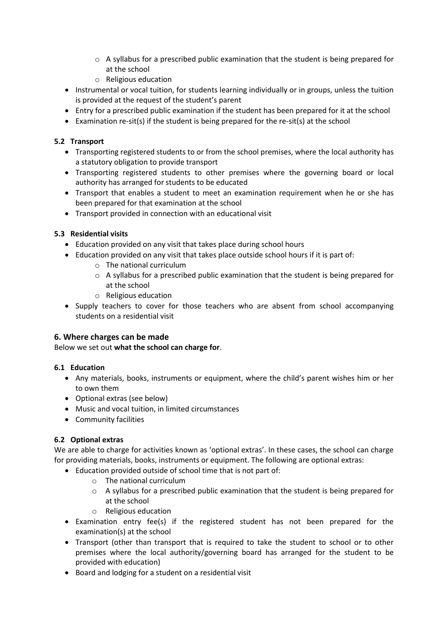- $\circ$  A syllabus for a prescribed public examination that the student is being prepared for at the school
- o Religious education
- Instrumental or vocal tuition, for students learning individually or in groups, unless the tuition is provided at the request of the student's parent
- Entry for a prescribed public examination if the student has been prepared for it at the school
- **Examination re-sit(s) if the student is being prepared for the re-sit(s) at the school**

# **5.2 Transport**

- Transporting registered students to or from the school premises, where the local authority has a statutory obligation to provide transport
- Transporting registered students to other premises where the governing board or local authority has arranged for students to be educated
- Transport that enables a student to meet an examination requirement when he or she has been prepared for that examination at the school
- Transport provided in connection with an educational visit

#### **5.3 Residential visits**

- Education provided on any visit that takes place during school hours
- Education provided on any visit that takes place outside school hours if it is part of:
	- o The national curriculum
	- o A syllabus for a prescribed public examination that the student is being prepared for at the school
	- o Religious education
- Supply teachers to cover for those teachers who are absent from school accompanying students on a residential visit

#### **6. Where charges can be made**

Below we set out **what the school can charge for**.

#### **6.1 Education**

- Any materials, books, instruments or equipment, where the child's parent wishes him or her to own them
- Optional extras (see below)
- Music and vocal tuition, in limited circumstances
- Community facilities

# **6.2 Optional extras**

We are able to charge for activities known as 'optional extras'. In these cases, the school can charge for providing materials, books, instruments or equipment. The following are optional extras:

- Education provided outside of school time that is not part of:
	- o The national curriculum
	- $\circ$  A syllabus for a prescribed public examination that the student is being prepared for at the school
	- o Religious education
- Examination entry fee(s) if the registered student has not been prepared for the examination(s) at the school
- Transport (other than transport that is required to take the student to school or to other premises where the local authority/governing board has arranged for the student to be provided with education)
- Board and lodging for a student on a residential visit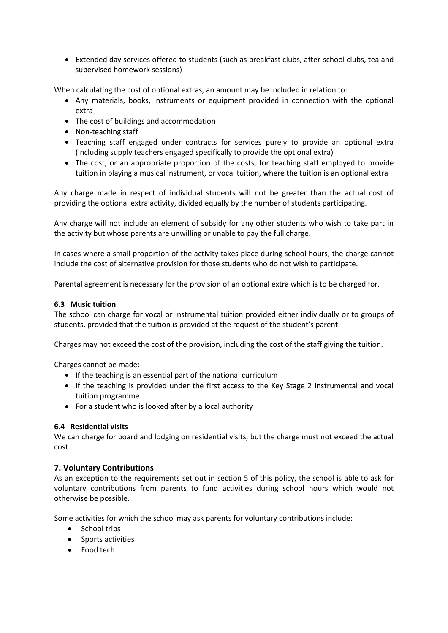Extended day services offered to students (such as breakfast clubs, after-school clubs, tea and supervised homework sessions)

When calculating the cost of optional extras, an amount may be included in relation to:

- Any materials, books, instruments or equipment provided in connection with the optional extra
- The cost of buildings and accommodation
- Non-teaching staff
- Teaching staff engaged under contracts for services purely to provide an optional extra (including supply teachers engaged specifically to provide the optional extra)
- The cost, or an appropriate proportion of the costs, for teaching staff employed to provide tuition in playing a musical instrument, or vocal tuition, where the tuition is an optional extra

Any charge made in respect of individual students will not be greater than the actual cost of providing the optional extra activity, divided equally by the number of students participating.

Any charge will not include an element of subsidy for any other students who wish to take part in the activity but whose parents are unwilling or unable to pay the full charge.

In cases where a small proportion of the activity takes place during school hours, the charge cannot include the cost of alternative provision for those students who do not wish to participate.

Parental agreement is necessary for the provision of an optional extra which is to be charged for.

#### **6.3 Music tuition**

The school can charge for vocal or instrumental tuition provided either individually or to groups of students, provided that the tuition is provided at the request of the student's parent.

Charges may not exceed the cost of the provision, including the cost of the staff giving the tuition.

Charges cannot be made:

- If the teaching is an essential part of the national curriculum
- If the teaching is provided under the first access to the Key Stage 2 instrumental and vocal tuition programme
- For a student who is looked after by a local authority

#### **6.4 Residential visits**

We can charge for board and lodging on residential visits, but the charge must not exceed the actual cost.

# **7. Voluntary Contributions**

As an exception to the requirements set out in section 5 of this policy, the school is able to ask for voluntary contributions from parents to fund activities during school hours which would not otherwise be possible.

Some activities for which the school may ask parents for voluntary contributions include:

- School trips
- Sports activities
- Food tech